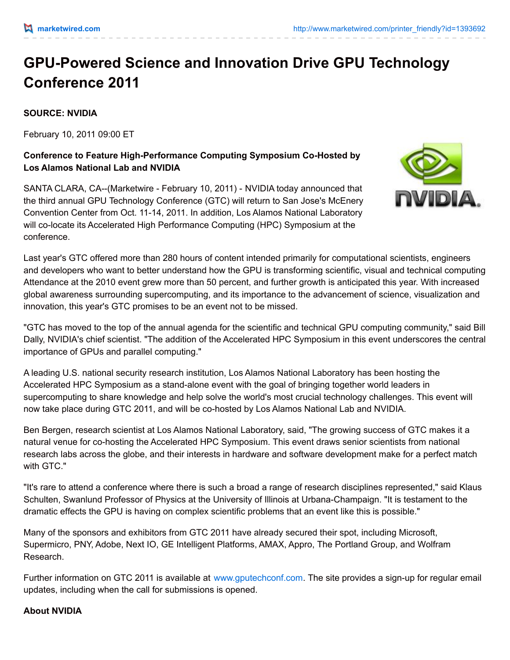## **GPU-Powered Science and Innovation Drive GPU Technology Conference 2011**

## **SOURCE: NVIDIA**

February 10, 2011 09:00 ET

## **Conference to Feature High-Performance Computing Symposium Co-Hosted by Los Alamos National Lab and NVIDIA**

SANTA CLARA, CA--(Marketwire - February 10, 2011) - NVIDIA today announced that the third annual GPU Technology Conference (GTC) will return to San Jose's McEnery Convention Center from Oct. 11-14, 2011. In addition, Los Alamos National Laboratory will co-locate its Accelerated High Performance Computing (HPC) Symposium at the conference.



Last year's GTC offered more than 280 hours of content intended primarily for computational scientists, engineers and developers who want to better understand how the GPU is transforming scientific, visual and technical computing. Attendance at the 2010 event grew more than 50 percent, and further growth is anticipated this year. With increased global awareness surrounding supercomputing, and its importance to the advancement of science, visualization and innovation, this year's GTC promises to be an event not to be missed.

"GTC has moved to the top of the annual agenda for the scientific and technical GPU computing community," said Bill Dally, NVIDIA's chief scientist. "The addition of the Accelerated HPC Symposium in this event underscores the central importance of GPUs and parallel computing."

A leading U.S. national security research institution, Los Alamos National Laboratory has been hosting the Accelerated HPC Symposium as a stand-alone event with the goal of bringing together world leaders in supercomputing to share knowledge and help solve the world's most crucial technology challenges. This event will now take place during GTC 2011, and will be co-hosted by Los Alamos National Lab and NVIDIA.

Ben Bergen, research scientist at Los Alamos National Laboratory, said, "The growing success of GTC makes it a natural venue for co-hosting the Accelerated HPC Symposium. This event draws senior scientists from national research labs across the globe, and their interests in hardware and software development make for a perfect match with GTC."

"It's rare to attend a conference where there is such a broad a range of research disciplines represented," said Klaus Schulten, Swanlund Professor of Physics at the University of Illinois at Urbana-Champaign. "It is testament to the dramatic effects the GPU is having on complex scientific problems that an event like this is possible."

Many of the sponsors and exhibitors from GTC 2011 have already secured their spot, including Microsoft, Supermicro, PNY, Adobe, Next IO, GE Intelligent Platforms, AMAX, Appro, The Portland Group, and Wolfram Research.

Further information on GTC 2011 is available at [www.gputechconf.com](http://www.gputechconf.com/). The site provides a sign-up for regular email updates, including when the call for submissions is opened.

## **About NVIDIA**